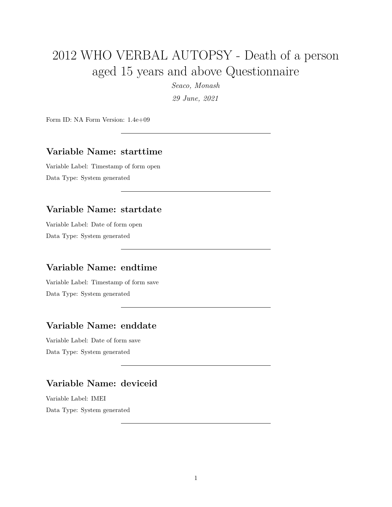# 2012 WHO VERBAL AUTOPSY - Death of a person aged 15 years and above Questionnaire

*Seaco, Monash*

*29 June, 2021*

Form ID: NA Form Version: 1.4e+09

#### **Variable Name: starttime**

Variable Label: Timestamp of form open Data Type: System generated

### **Variable Name: startdate**

Variable Label: Date of form open Data Type: System generated

### **Variable Name: endtime**

Variable Label: Timestamp of form save Data Type: System generated

### **Variable Name: enddate**

Variable Label: Date of form save Data Type: System generated

### **Variable Name: deviceid**

Variable Label: IMEI Data Type: System generated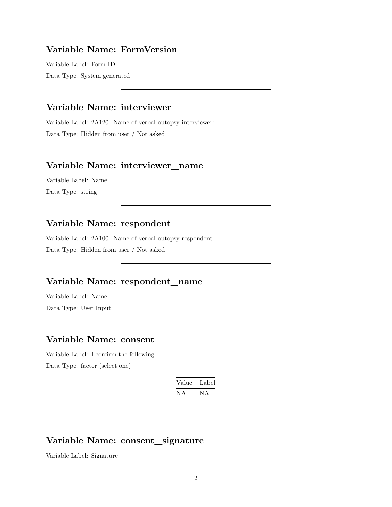### **Variable Name: FormVersion**

Variable Label: Form ID Data Type: System generated

#### **Variable Name: interviewer**

Variable Label: 2A120. Name of verbal autopsy interviewer: Data Type: Hidden from user / Not asked

#### **Variable Name: interviewer\_name**

Variable Label: Name Data Type: string

### **Variable Name: respondent**

Variable Label: 2A100. Name of verbal autopsy respondent Data Type: Hidden from user / Not asked

### **Variable Name: respondent\_name**

Variable Label: Name Data Type: User Input

#### **Variable Name: consent**

Variable Label: I confirm the following: Data Type: factor (select one)

| Value | Label |
|-------|-------|
| NА    | NА    |

### **Variable Name: consent\_signature**

Variable Label: Signature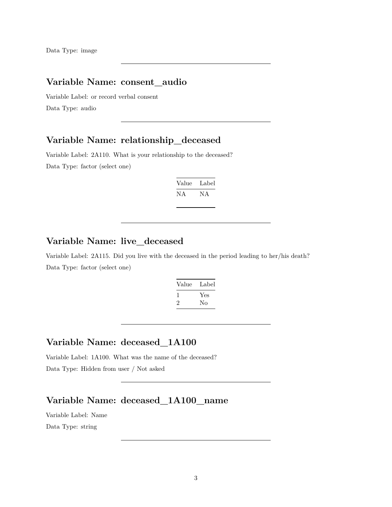### **Variable Name: consent\_audio**

Variable Label: or record verbal consent Data Type: audio

#### **Variable Name: relationship\_deceased**

Variable Label: 2A110. What is your relationship to the deceased? Data Type: factor (select one)

| Value | Label |
|-------|-------|
| ΝA    | NА    |

### **Variable Name: live\_deceased**

Variable Label: 2A115. Did you live with the deceased in the period leading to her/his death? Data Type: factor (select one)

| Value        | Label |
|--------------|-------|
| $\mathbf{I}$ | Yes   |
| '2           | Nο    |

#### **Variable Name: deceased\_1A100**

Variable Label: 1A100. What was the name of the deceased?

Data Type: Hidden from user / Not asked

### **Variable Name: deceased\_1A100\_name**

Variable Label: Name

Data Type: string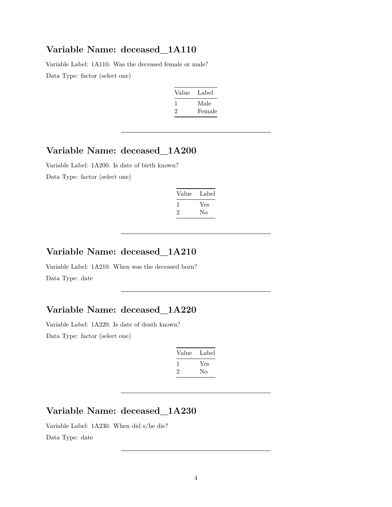Variable Label: 1A110. Was the deceased female or male? Data Type: factor (select one)

| Value | Label  |
|-------|--------|
| ı.    | Male   |
| '2    | Female |

## **Variable Name: deceased\_1A200**

Variable Label: 1A200. Is date of birth known? Data Type: factor (select one)

| Label |
|-------|
|       |
|       |
|       |

## **Variable Name: deceased\_1A210**

Variable Label: 1A210. When was the deceased born? Data Type: date

### **Variable Name: deceased\_1A220**

Variable Label: 1A220. Is date of death known? Data Type: factor (select one)

| Value | Label |
|-------|-------|
|       | Yes   |
| '2    | Nο    |

## **Variable Name: deceased\_1A230**

Variable Label: 1A230. When did s/he die? Data Type: date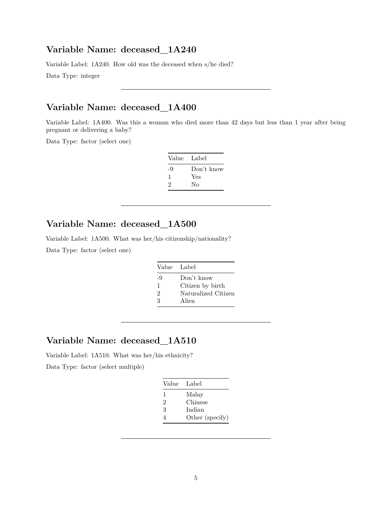Variable Label: 1A240. How old was the deceased when s/he died?

Data Type: integer

### **Variable Name: deceased\_1A400**

Variable Label: 1A400. Was this a woman who died more than 42 days but less than 1 year after being pregnant or delivering a baby?

Data Type: factor (select one)

| Value Label |            |
|-------------|------------|
| -9          | Don't know |
| ı           | Yes        |
| 2           | No         |

### **Variable Name: deceased\_1A500**

Variable Label: 1A500. What was her/his citizenship/nationality?

Data Type: factor (select one)

| Value Label    |                     |
|----------------|---------------------|
| -9             | Don't know          |
| 1              | Citizen by birth    |
| $\mathfrak{D}$ | Naturalized Citizen |
| З              | Alien               |

### **Variable Name: deceased\_1A510**

Variable Label: 1A510. What was her/his ethnicity?

Data Type: factor (select multiple)

| Value          | - Label         |
|----------------|-----------------|
| 1              | Malay           |
| 2              | Chinese         |
| 3              | Indian          |
| $\overline{4}$ | Other (specify) |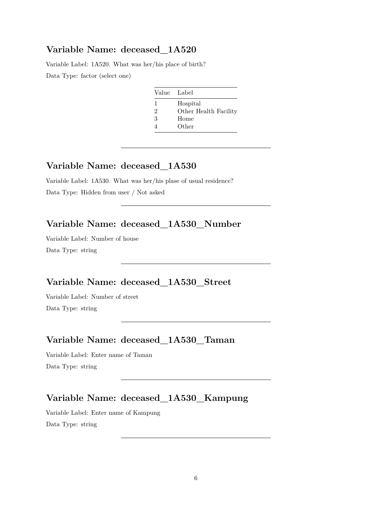Variable Label: 1A520. What was her/his place of birth? Data Type: factor (select one)

| Value | Label                 |
|-------|-----------------------|
| 1     | Hospital              |
| 2     | Other Health Facility |
| 3     | Home                  |
|       | Other                 |

### **Variable Name: deceased\_1A530**

Variable Label: 1A530. What was her/his plase of usual residence? Data Type: Hidden from user / Not asked

### **Variable Name: deceased\_1A530\_Number**

Variable Label: Number of house Data Type: string

### **Variable Name: deceased\_1A530\_Street**

Variable Label: Number of street Data Type: string

### **Variable Name: deceased\_1A530\_Taman**

Variable Label: Enter name of Taman Data Type: string

## **Variable Name: deceased\_1A530\_Kampung**

Variable Label: Enter name of Kampung

Data Type: string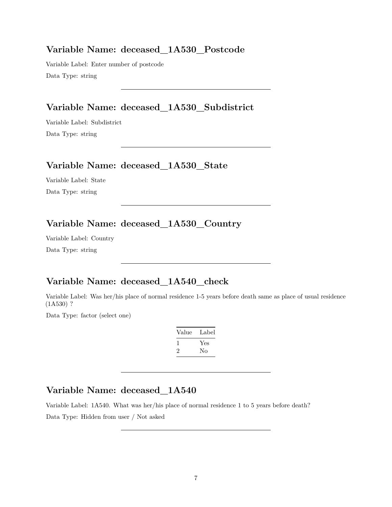#### **Variable Name: deceased\_1A530\_Postcode**

Variable Label: Enter number of postcode Data Type: string

### **Variable Name: deceased\_1A530\_Subdistrict**

Variable Label: Subdistrict Data Type: string

#### **Variable Name: deceased\_1A530\_State**

Variable Label: State Data Type: string

## **Variable Name: deceased\_1A530\_Country**

Variable Label: Country Data Type: string

## **Variable Name: deceased\_1A540\_check**

Variable Label: Was her/his place of normal residence 1-5 years before death same as place of usual residence (1A530) ?

Data Type: factor (select one)

| Value | Label |
|-------|-------|
|       | Yes   |
| ۰,    | Nο    |

## **Variable Name: deceased\_1A540**

Variable Label: 1A540. What was her/his place of normal residence 1 to 5 years before death?

Data Type: Hidden from user / Not asked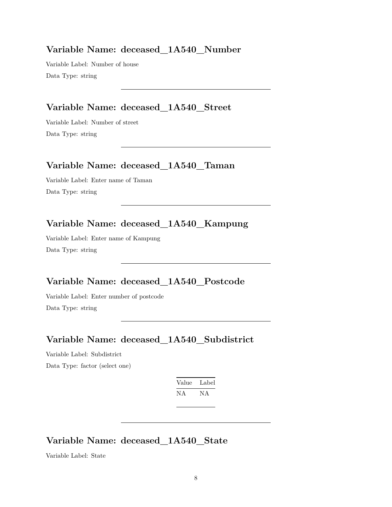#### **Variable Name: deceased\_1A540\_Number**

Variable Label: Number of house Data Type: string

### **Variable Name: deceased\_1A540\_Street**

Variable Label: Number of street Data Type: string

### **Variable Name: deceased\_1A540\_Taman**

Variable Label: Enter name of Taman Data Type: string

## **Variable Name: deceased\_1A540\_Kampung**

Variable Label: Enter name of Kampung Data Type: string

## **Variable Name: deceased\_1A540\_Postcode**

Variable Label: Enter number of postcode Data Type: string

### **Variable Name: deceased\_1A540\_Subdistrict**

Variable Label: Subdistrict

Data Type: factor (select one)

| Value | Label |
|-------|-------|
| ΝA    | N A   |

## **Variable Name: deceased\_1A540\_State**

Variable Label: State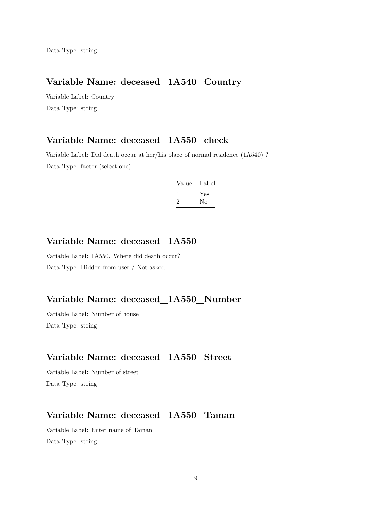### **Variable Name: deceased\_1A540\_Country**

Variable Label: Country Data Type: string

## **Variable Name: deceased\_1A550\_check**

Variable Label: Did death occur at her/his place of normal residence (1A540) ? Data Type: factor (select one)

| Value | Label     |
|-------|-----------|
| '2    | Yes<br>Nο |
|       |           |

### **Variable Name: deceased\_1A550**

Variable Label: 1A550. Where did death occur? Data Type: Hidden from user / Not asked

#### **Variable Name: deceased\_1A550\_Number**

Variable Label: Number of house Data Type: string

### **Variable Name: deceased\_1A550\_Street**

Variable Label: Number of street Data Type: string

## **Variable Name: deceased\_1A550\_Taman**

Variable Label: Enter name of Taman Data Type: string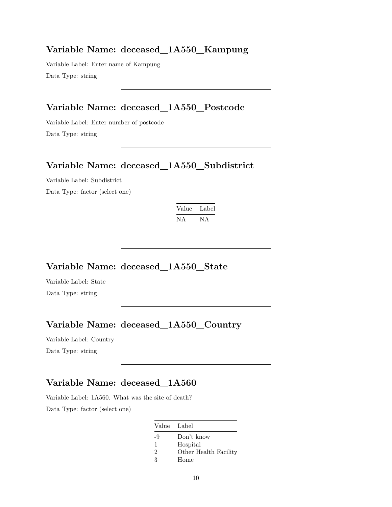#### **Variable Name: deceased\_1A550\_Kampung**

Variable Label: Enter name of Kampung Data Type: string

### **Variable Name: deceased\_1A550\_Postcode**

Variable Label: Enter number of postcode Data Type: string

### **Variable Name: deceased\_1A550\_Subdistrict**

Variable Label: Subdistrict Data Type: factor (select one)

| Value | Label |
|-------|-------|
| ΝA    | NA.   |

## **Variable Name: deceased\_1A550\_State**

Variable Label: State Data Type: string

## **Variable Name: deceased\_1A550\_Country**

Variable Label: Country Data Type: string

### **Variable Name: deceased\_1A560**

Variable Label: 1A560. What was the site of death? Data Type: factor (select one)

|                | Value Label           |
|----------------|-----------------------|
| -9             | Don't know            |
| 1              | Hospital              |
| $\mathfrak{D}$ | Other Health Facility |
| 3              | Home                  |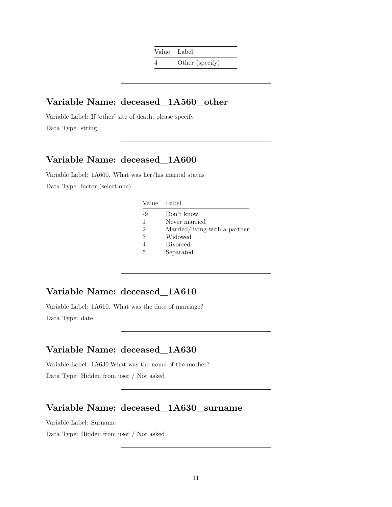### **Variable Name: deceased\_1A560\_other**

Variable Label: If 'other' site of death, please specify Data Type: string

## **Variable Name: deceased\_1A600**

Variable Label: 1A600. What was her/his marital status Data Type: factor (select one)

|                | Value Label                   |
|----------------|-------------------------------|
| -9             | Don't know                    |
| 1              | Never married                 |
| $\mathfrak{D}$ | Married/living with a partner |
| 3              | Widowed                       |
|                | Divorced                      |
| 5              | Separated                     |

## **Variable Name: deceased\_1A610**

Variable Label: 1A610. What was the date of marriage? Data Type: date

### **Variable Name: deceased\_1A630**

Variable Label: 1A630.What was the name of the mother? Data Type: Hidden from user / Not asked

## **Variable Name: deceased\_1A630\_surname**

Variable Label: Surname

Data Type: Hidden from user / Not asked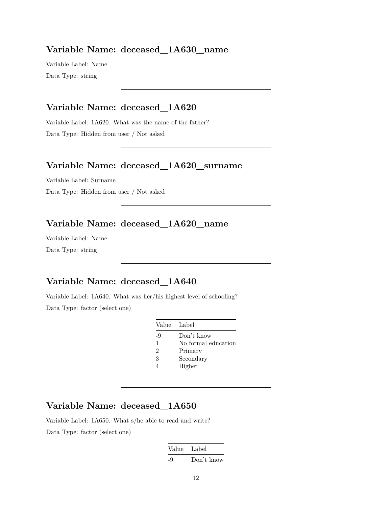#### **Variable Name: deceased\_1A630\_name**

Variable Label: Name Data Type: string

### **Variable Name: deceased\_1A620**

Variable Label: 1A620. What was the name of the father? Data Type: Hidden from user / Not asked

#### **Variable Name: deceased\_1A620\_surname**

Variable Label: Surname Data Type: Hidden from user / Not asked

### **Variable Name: deceased\_1A620\_name**

Variable Label: Name Data Type: string

### **Variable Name: deceased\_1A640**

Variable Label: 1A640. What was her/his highest level of schooling? Data Type: factor (select one)

| Value Label    |                     |
|----------------|---------------------|
| -9             | Don't know          |
| 1              | No formal education |
| $\overline{2}$ | Primary             |
| 3              | Secondary           |
|                | Higher              |

## **Variable Name: deceased\_1A650**

Variable Label: 1A650. What s/he able to read and write? Data Type: factor (select one)

| Value | Label      |
|-------|------------|
| -9    | Don't know |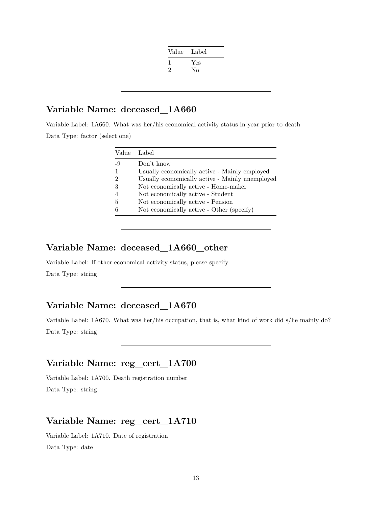| Value | Label |
|-------|-------|
|       | Yes   |
| 2     | No    |
|       |       |

Variable Label: 1A660. What was her/his economical activity status in year prior to death Data Type: factor (select one)

| Value Label |                                                 |
|-------------|-------------------------------------------------|
| -9          | Don't know                                      |
| 1           | Usually economically active - Mainly employed   |
| 2           | Usually economically active - Mainly unemployed |
| 3           | Not economically active - Home-maker            |
|             | Not economically active - Student               |
| 5           | Not economically active - Pension               |
|             | Not economically active - Other (specify)       |

### **Variable Name: deceased\_1A660\_other**

Variable Label: If other economical activity status, please specify Data Type: string

### **Variable Name: deceased\_1A670**

Variable Label: 1A670. What was her/his occupation, that is, what kind of work did s/he mainly do? Data Type: string

#### **Variable Name: reg\_cert\_1A700**

Variable Label: 1A700. Death registration number Data Type: string

## **Variable Name: reg\_cert\_1A710**

Variable Label: 1A710. Date of registration Data Type: date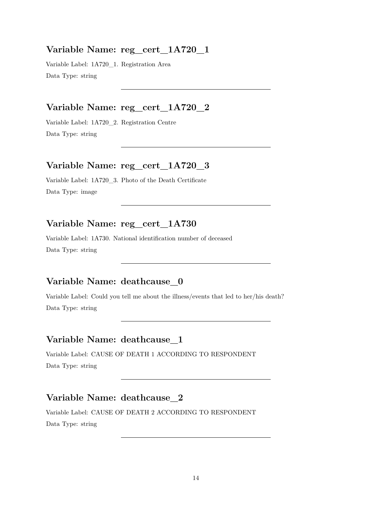#### **Variable Name: reg\_cert\_1A720\_1**

Variable Label: 1A720\_1. Registration Area Data Type: string

### **Variable Name: reg\_cert\_1A720\_2**

Variable Label: 1A720\_2. Registration Centre Data Type: string

### **Variable Name: reg\_cert\_1A720\_3**

Variable Label: 1A720\_3. Photo of the Death Certificate Data Type: image

### **Variable Name: reg\_cert\_1A730**

Variable Label: 1A730. National identification number of deceased Data Type: string

## **Variable Name: deathcause\_0**

Variable Label: Could you tell me about the illness/events that led to her/his death? Data Type: string

### **Variable Name: deathcause\_1**

Variable Label: CAUSE OF DEATH 1 ACCORDING TO RESPONDENT Data Type: string

### **Variable Name: deathcause\_2**

Variable Label: CAUSE OF DEATH 2 ACCORDING TO RESPONDENT Data Type: string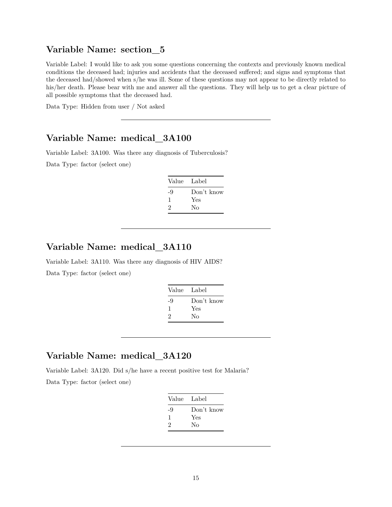### **Variable Name: section\_5**

Variable Label: I would like to ask you some questions concerning the contexts and previously known medical conditions the deceased had; injuries and accidents that the deceased suffered; and signs and symptoms that the deceased had/showed when s/he was ill. Some of these questions may not appear to be directly related to his/her death. Please bear with me and answer all the questions. They will help us to get a clear picture of all possible symptoms that the deceased had.

Data Type: Hidden from user / Not asked

### **Variable Name: medical\_3A100**

Variable Label: 3A100. Was there any diagnosis of Tuberculosis?

Data Type: factor (select one)

| Value | Label      |
|-------|------------|
| -9    | Don't know |
| 1     | Yes        |
| 2     | Nο         |
|       |            |

### **Variable Name: medical\_3A110**

Variable Label: 3A110. Was there any diagnosis of HIV AIDS? Data Type: factor (select one)

| Value | Label      |
|-------|------------|
| -9    | Don't know |
| ı.    | Yes        |
| 2     | No         |
|       |            |

#### **Variable Name: medical\_3A120**

Variable Label: 3A120. Did s/he have a recent positive test for Malaria? Data Type: factor (select one)

| Value Label |            |
|-------------|------------|
| -9          | Don't know |
| ı           | Yes        |
| 2           | No         |
|             |            |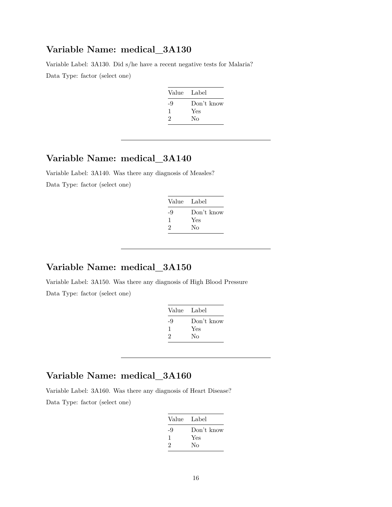Variable Label: 3A130. Did s/he have a recent negative tests for Malaria? Data Type: factor (select one)

| Value Label |            |
|-------------|------------|
| -9          | Don't know |
| ı           | Yes        |
| 2           | No         |
|             |            |

## **Variable Name: medical\_3A140**

Variable Label: 3A140. Was there any diagnosis of Measles? Data Type: factor (select one)

| Value Label |            |
|-------------|------------|
| -9          | Don't know |
| л.          | Yes        |
| 2           | Nο         |
|             |            |

### **Variable Name: medical\_3A150**

Variable Label: 3A150. Was there any diagnosis of High Blood Pressure Data Type: factor (select one)

| Value | - Label    |
|-------|------------|
| -9    | Don't know |
| ı     | Yes        |
| 2     | Nο         |
|       |            |

## **Variable Name: medical\_3A160**

Variable Label: 3A160. Was there any diagnosis of Heart Disease?

Data Type: factor (select one)

| Value Label |            |
|-------------|------------|
| -9          | Don't know |
| ı           | Yes        |
| 2           | Nο         |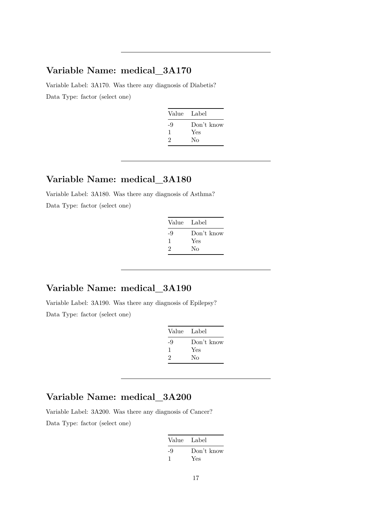Variable Label: 3A170. Was there any diagnosis of Diabetis? Data Type: factor (select one)

| Value Label |            |
|-------------|------------|
| -9          | Don't know |
| 1           | Yes        |
| 2           | Nο         |
|             |            |

#### **Variable Name: medical\_3A180**

Variable Label: 3A180. Was there any diagnosis of Asthma? Data Type: factor (select one)

| Label      |
|------------|
| Don't know |
| Yes        |
| No         |
|            |

### **Variable Name: medical\_3A190**

Variable Label: 3A190. Was there any diagnosis of Epilepsy? Data Type: factor (select one)

| Value | Label      |
|-------|------------|
| -9    | Don't know |
| -1    | Yes        |
| 2     | Nο         |

## **Variable Name: medical\_3A200**

Variable Label: 3A200. Was there any diagnosis of Cancer? Data Type: factor (select one)

| Value Label       |
|-------------------|
| Don't know<br>Yes |
|                   |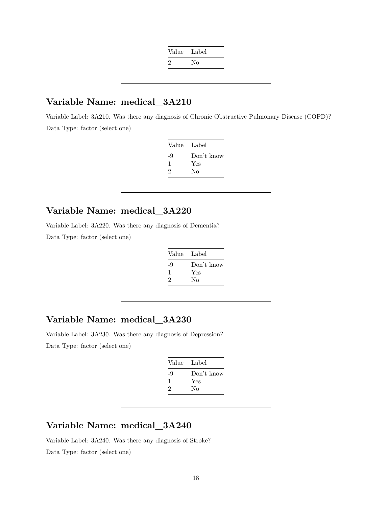| Value Label   |    |
|---------------|----|
| $\mathcal{L}$ | No |

Variable Label: 3A210. Was there any diagnosis of Chronic Obstructive Pulmonary Disease (COPD)? Data Type: factor (select one)

| Label      |
|------------|
| Don't know |
| Yes        |
| No         |
|            |

## **Variable Name: medical\_3A220**

Variable Label: 3A220. Was there any diagnosis of Dementia?

Data Type: factor (select one)

| Value | Label      |
|-------|------------|
| -9    | Don't know |
| 1     | Yes        |
| 2     | Nο         |

## **Variable Name: medical\_3A230**

Variable Label: 3A230. Was there any diagnosis of Depression? Data Type: factor (select one)

| Value | Label      |
|-------|------------|
| -9    | Don't know |
| 1     | Yes        |
| 2     | Nο         |

## **Variable Name: medical\_3A240**

Variable Label: 3A240. Was there any diagnosis of Stroke? Data Type: factor (select one)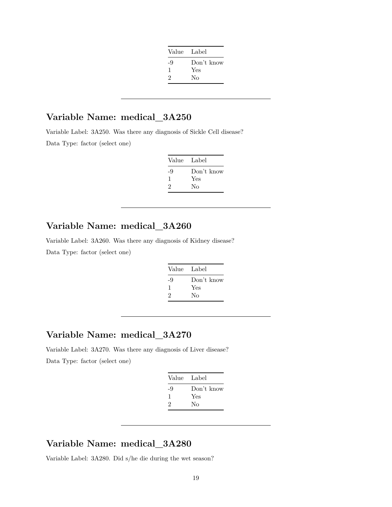| Value Label |            |
|-------------|------------|
| -9          | Don't know |
| ı           | Yes        |
| 2           | No         |
|             |            |

Variable Label: 3A250. Was there any diagnosis of Sickle Cell disease?

Data Type: factor (select one)

| Value Label |            |
|-------------|------------|
| -9          | Don't know |
| ı           | Yes        |
| 2           | No         |

### **Variable Name: medical\_3A260**

Variable Label: 3A260. Was there any diagnosis of Kidney disease? Data Type: factor (select one)

| Value | Label      |
|-------|------------|
| -9    | Don't know |
| 1     | Yes        |
| 2     | Nο         |
|       |            |

### **Variable Name: medical\_3A270**

Variable Label: 3A270. Was there any diagnosis of Liver disease? Data Type: factor (select one)

| Value Label |            |
|-------------|------------|
| -9          | Don't know |
| ı           | Yes        |
| 2           | No         |
|             |            |

### **Variable Name: medical\_3A280**

Variable Label: 3A280. Did s/he die during the wet season?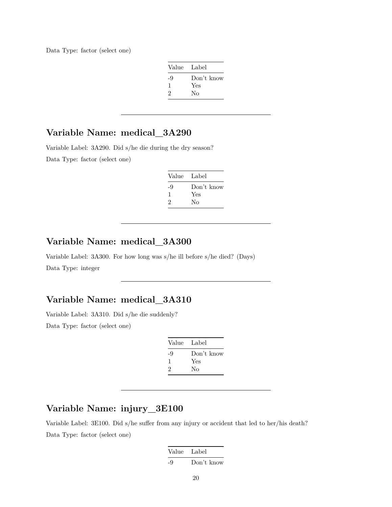Data Type: factor (select one)

| Value Label |
|-------------|
| Don't know  |
| Yes         |
| No          |
|             |

## **Variable Name: medical\_3A290**

Variable Label: 3A290. Did s/he die during the dry season? Data Type: factor (select one)

| Value | Label      |
|-------|------------|
| -9    | Don't know |
| -1    | Yes        |
| 2     | Nο         |

## **Variable Name: medical\_3A300**

Variable Label: 3A300. For how long was s/he ill before s/he died? (Days) Data Type: integer

#### **Variable Name: medical\_3A310**

Variable Label: 3A310. Did s/he die suddenly? Data Type: factor (select one)

| Value | Label      |
|-------|------------|
| -9    | Don't know |
| -1    | Yes        |
| 2     | Nο         |

### **Variable Name: injury\_3E100**

Variable Label: 3E100. Did s/he suffer from any injury or accident that led to her/his death? Data Type: factor (select one)

|    | Value Label |
|----|-------------|
| -9 | Don't know  |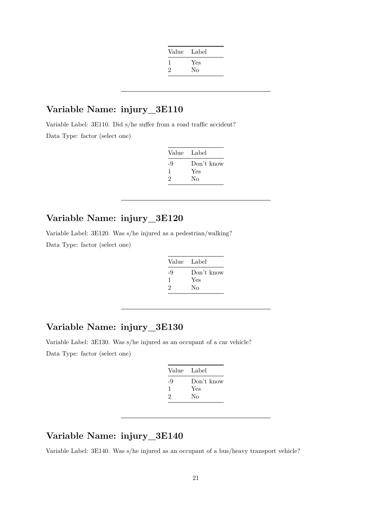| Value Label |     |
|-------------|-----|
|             | Yes |
| 2           | No  |
|             |     |

Variable Label: 3E110. Did s/he suffer from a road traffic accident? Data Type: factor (select one)

| Value | Label      |
|-------|------------|
| -9    | Don't know |
| ı     | Yes        |
| 2     | Nο         |

#### **Variable Name: injury\_3E120**

Variable Label: 3E120. Was s/he injured as a pedestrian/walking? Data Type: factor (select one)

| Value | Label      |
|-------|------------|
| -9    | Don't know |
| J.    | Yes        |
| 2     | Nο         |

### **Variable Name: injury\_3E130**

Variable Label: 3E130. Was s/he injured as an occupant of a car vehicle? Data Type: factor (select one)

| Value Label |
|-------------|
| Don't know  |
| Yes         |
| Nο          |
|             |

## **Variable Name: injury\_3E140**

Variable Label: 3E140. Was s/he injured as an occupant of a bus/heavy transport vehicle?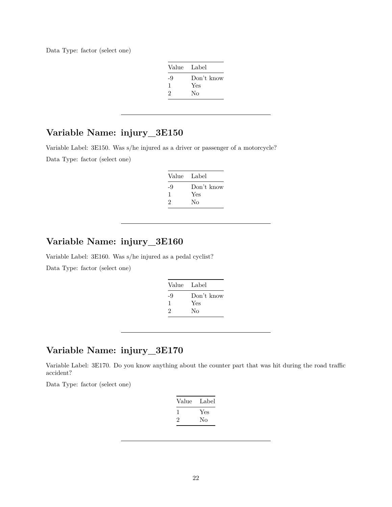Data Type: factor (select one)

| Value Label |            |
|-------------|------------|
| -9          | Don't know |
| -1          | Yes        |
| 2           | Nο         |

## **Variable Name: injury\_3E150**

Variable Label: 3E150. Was s/he injured as a driver or passenger of a motorcycle? Data Type: factor (select one)

| Value | Label      |
|-------|------------|
| -9    | Don't know |
|       | Yes        |
| 2     | Nο         |

## **Variable Name: injury\_3E160**

Variable Label: 3E160. Was s/he injured as a pedal cyclist?

Data Type: factor (select one)

| Value | Label      |
|-------|------------|
| -9    | Don't know |
| ı     | Yes        |
| 2     | No         |
|       |            |

### **Variable Name: injury\_3E170**

Variable Label: 3E170. Do you know anything about the counter part that was hit during the road traffic accident?

Data Type: factor (select one)

| Value | Label |
|-------|-------|
|       | Yes   |
| ۰,    | Nο    |
|       |       |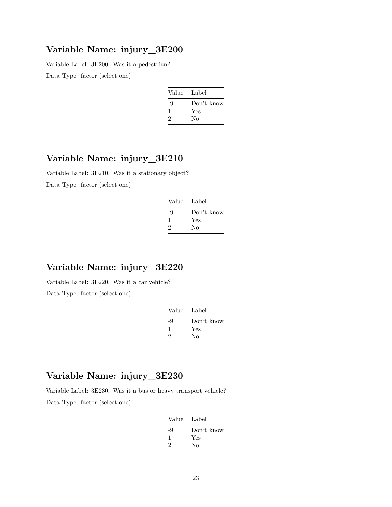Variable Label: 3E200. Was it a pedestrian?

Data Type: factor (select one)

| Value | Label      |
|-------|------------|
| -9    | Don't know |
| ı     | Yes        |
| 2     | Nο         |

## **Variable Name: injury\_3E210**

Variable Label: 3E210. Was it a stationary object? Data Type: factor (select one)

| Value Label |            |
|-------------|------------|
| -9          | Don't know |
| л.          | Yes        |
| 2           | Nο         |
|             |            |

## **Variable Name: injury\_3E220**

Variable Label: 3E220. Was it a car vehicle? Data Type: factor (select one)

| Value | - Label    |
|-------|------------|
| -9    | Don't know |
| 1     | Yes        |
| 2     | Nο         |

### **Variable Name: injury\_3E230**

Variable Label: 3E230. Was it a bus or heavy transport vehicle?

Data Type: factor (select one)

| Value Label |            |
|-------------|------------|
| -9          | Don't know |
| 1           | Yes        |
| 2           | Nο         |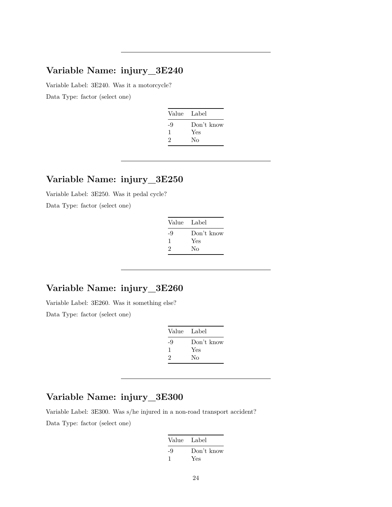Variable Label: 3E240. Was it a motorcycle? Data Type: factor (select one)

| Value Label |            |
|-------------|------------|
| -9          | Don't know |
| H           | Yes        |
| 2           | Nο         |
|             |            |

#### **Variable Name: injury\_3E250**

Variable Label: 3E250. Was it pedal cycle?

Data Type: factor (select one)

| Value | Label      |
|-------|------------|
| -9    | Don't know |
| 1     | Yes        |
| 2     | Nο         |

### **Variable Name: injury\_3E260**

Variable Label: 3E260. Was it something else? Data Type: factor (select one)

| Value | Label      |
|-------|------------|
| -9    | Don't know |
| -1    | Yes        |
| 2     | Nο         |

## **Variable Name: injury\_3E300**

Variable Label: 3E300. Was s/he injured in a non-road transport accident? Data Type: factor (select one)

| Value Label |            |
|-------------|------------|
| -9          | Don't know |
|             | Yes        |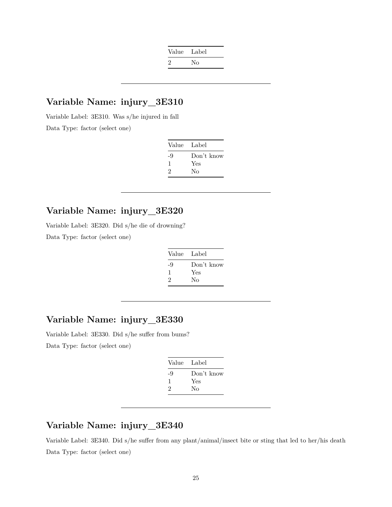| Value Label |    |
|-------------|----|
| $\cdot$     | Nο |

Variable Label: 3E310. Was s/he injured in fall Data Type: factor (select one)

| Value Label |            |
|-------------|------------|
| -9          | Don't know |
| 1           | Yes        |
| 2           | No         |

### **Variable Name: injury\_3E320**

Variable Label: 3E320. Did s/he die of drowning? Data Type: factor (select one)

| Value Label |            |
|-------------|------------|
| -9          | Don't know |
| ı           | Yes        |
| 2           | Nο         |

### **Variable Name: injury\_3E330**

Variable Label: 3E330. Did s/he suffer from bums? Data Type: factor (select one)

| Value Label |            |
|-------------|------------|
| -9          | Don't know |
| L           | Yes        |
| 2           | Nο         |

### **Variable Name: injury\_3E340**

Variable Label: 3E340. Did s/he suffer from any plant/animal/insect bite or sting that led to her/his death Data Type: factor (select one)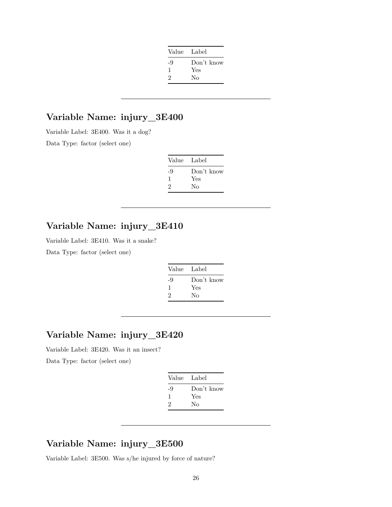| Value Label |            |
|-------------|------------|
| -9          | Don't know |
| -1          | Yes        |
| 2           | Nο         |
|             |            |

Variable Label: 3E400. Was it a dog?

Data Type: factor (select one)

| Value Label |            |
|-------------|------------|
| -9          | Don't know |
| J.          | Yes        |
| 2           | Nο         |

## **Variable Name: injury\_3E410**

Variable Label: 3E410. Was it a snake?

Data Type: factor (select one)

| Label      |
|------------|
| Don't know |
| Yes        |
| Nο         |
|            |

### **Variable Name: injury\_3E420**

Variable Label: 3E420. Was it an insect?

Data Type: factor (select one)

| Value Label |            |
|-------------|------------|
| -9          | Don't know |
| 1           | Yes        |
| 2           | No         |
|             |            |

#### **Variable Name: injury\_3E500**

Variable Label: 3E500. Was s/he injured by force of nature?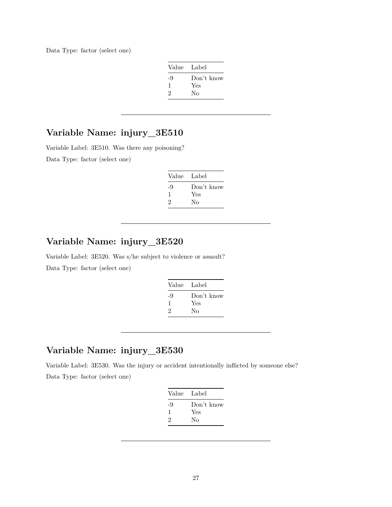Data Type: factor (select one)

| Value Label |            |
|-------------|------------|
| -9          | Don't know |
| 1           | Yes        |
| 2           | No         |

## **Variable Name: injury\_3E510**

Variable Label: 3E510. Was there any poisoning? Data Type: factor (select one)

| Value Label |            |
|-------------|------------|
| -9          | Don't know |
|             | Yes        |
| 2           | Nο         |

### **Variable Name: injury\_3E520**

Variable Label: 3E520. Was s/he subject to violence or assault? Data Type: factor (select one)

| Value Label |            |
|-------------|------------|
| -9          | Don't know |
| ı           | Yes        |
| 2           | No         |
|             |            |

### **Variable Name: injury\_3E530**

Variable Label: 3E530. Was the injury or accident intentionally inflicted by someone else? Data Type: factor (select one)

| Value | Label      |
|-------|------------|
| -9    | Don't know |
| ı     | Yes        |
| 2     | Nο         |
|       |            |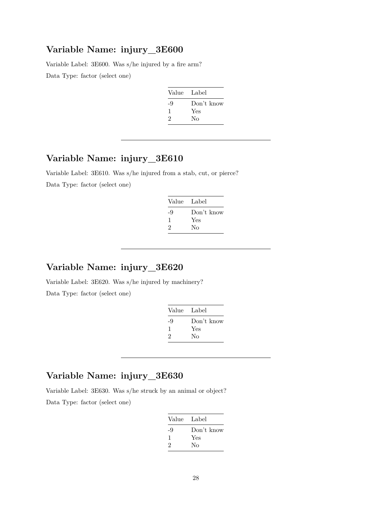Variable Label: 3E600. Was s/he injured by a fire arm? Data Type: factor (select one)

| Value | Label      |
|-------|------------|
| -9    | Don't know |
| ı     | Yes        |
| 2     | Nο         |

### **Variable Name: injury\_3E610**

Variable Label: 3E610. Was s/he injured from a stab, cut, or pierce? Data Type: factor (select one)

| Value Label |            |
|-------------|------------|
| -9          | Don't know |
| J.          | Yes        |
| 2           | Nο         |

### **Variable Name: injury\_3E620**

Variable Label: 3E620. Was s/he injured by machinery? Data Type: factor (select one)

| Label      |
|------------|
| Don't know |
| Yes        |
| No         |
|            |

### **Variable Name: injury\_3E630**

Variable Label: 3E630. Was s/he struck by an animal or object?

Data Type: factor (select one)

| Value | - Label    |
|-------|------------|
| -9    | Don't know |
| 1     | Yes        |
| 2     | Nο         |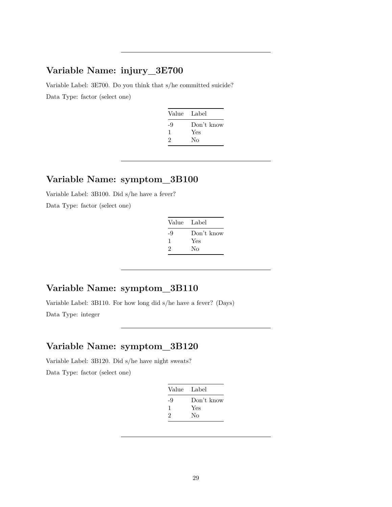Variable Label: 3E700. Do you think that s/he committed suicide? Data Type: factor (select one)

| Value Label |            |
|-------------|------------|
| -9          | Don't know |
| 1           | Yes        |
| 2           | Nο         |
|             |            |

### **Variable Name: symptom\_3B100**

Variable Label: 3B100. Did s/he have a fever?

Data Type: factor (select one)

| Value Label |            |
|-------------|------------|
| -9          | Don't know |
| ı           | Yes        |
| 2           | No         |

## **Variable Name: symptom\_3B110**

Variable Label: 3B110. For how long did s/he have a fever? (Days) Data Type: integer

## **Variable Name: symptom\_3B120**

Variable Label: 3B120. Did s/he have night sweats? Data Type: factor (select one)

| Value | Label      |
|-------|------------|
| -9    | Don't know |
| 1     | Yes        |
| 2     | Nο         |
|       |            |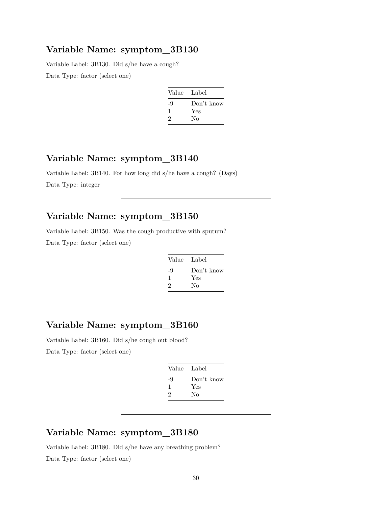Variable Label: 3B130. Did s/he have a cough? Data Type: factor (select one)

| Value | Label      |
|-------|------------|
| -9    | Don't know |
| 1     | Yes        |
| 2     | Nο         |

## **Variable Name: symptom\_3B140**

Variable Label: 3B140. For how long did s/he have a cough? (Days) Data Type: integer

#### **Variable Name: symptom\_3B150**

Variable Label: 3B150. Was the cough productive with sputum? Data Type: factor (select one)

| Label      |
|------------|
| Don't know |
| Yes        |
| No         |
|            |

## **Variable Name: symptom\_3B160**

Variable Label: 3B160. Did s/he cough out blood? Data Type: factor (select one)

| Value | Label      |
|-------|------------|
| -9    | Don't know |
| ı     | Yes        |
| 2     | Nο         |

## **Variable Name: symptom\_3B180**

Variable Label: 3B180. Did s/he have any breathing problem? Data Type: factor (select one)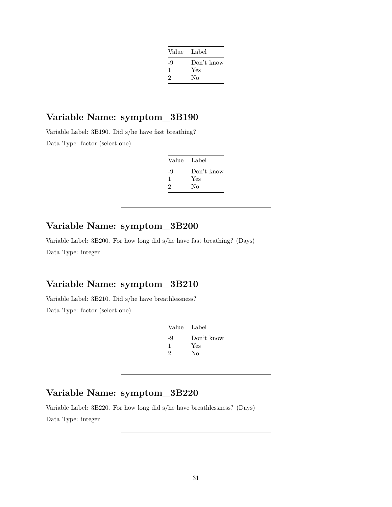| Value Label |            |
|-------------|------------|
| -9          | Don't know |
| 1           | Yes        |
| 2           | Nο         |
|             |            |

Variable Label: 3B190. Did s/he have fast breathing? Data Type: factor (select one)

| Value Label |            |
|-------------|------------|
| -9          | Don't know |
| -1          | Yes        |
| 2           | Nο         |

### **Variable Name: symptom\_3B200**

Variable Label: 3B200. For how long did s/he have fast breathing? (Days) Data Type: integer

### **Variable Name: symptom\_3B210**

Variable Label: 3B210. Did s/he have breathlessness? Data Type: factor (select one)

| Value Label |            |
|-------------|------------|
| -9          | Don't know |
| ı           | Yes        |
| 2           | Nο         |
|             |            |

### **Variable Name: symptom\_3B220**

Variable Label: 3B220. For how long did s/he have breathlessness? (Days) Data Type: integer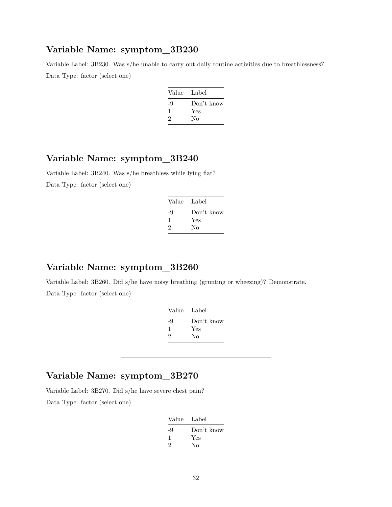Variable Label: 3B230. Was s/he unable to carry out daily routine activities due to breathlessness? Data Type: factor (select one)

| Value | - Label    |
|-------|------------|
| -9    | Don't know |
| ı     | Yes        |
| 2     | No         |

### **Variable Name: symptom\_3B240**

Variable Label: 3B240. Was s/he breathless while lying flat? Data Type: factor (select one)

| Value Label |            |
|-------------|------------|
| -9          | Don't know |
| -1          | Yes        |
| 2           | Nο         |

## **Variable Name: symptom\_3B260**

Variable Label: 3B260. Did s/he have noisy breathing (grunting or wheezing)? Demonstrate. Data Type: factor (select one)

| Value Label |
|-------------|
| Don't know  |
| Yes         |
| Nο          |
|             |

### **Variable Name: symptom\_3B270**

Variable Label: 3B270. Did s/he have severe chest pain?

Data Type: factor (select one)

| Value | Label      |
|-------|------------|
| -9    | Don't know |
| 1     | Yes        |
| 2     | Nο         |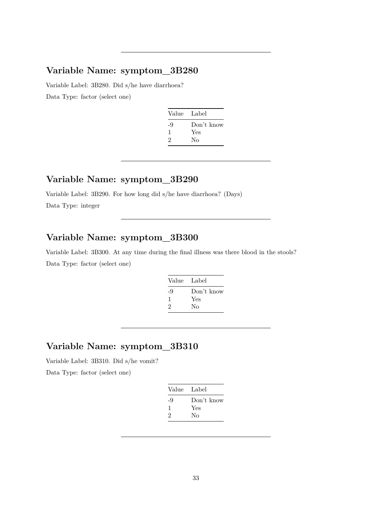Variable Label: 3B280. Did s/he have diarrhoea? Data Type: factor (select one)

| Value | Label      |
|-------|------------|
| -9    | Don't know |
| 1     | Yes        |
| 2     | Nο         |
|       |            |

#### **Variable Name: symptom\_3B290**

Variable Label: 3B290. For how long did s/he have diarrhoea? (Days) Data Type: integer

## **Variable Name: symptom\_3B300**

Variable Label: 3B300. At any time during the final illness was there blood in the stools? Data Type: factor (select one)

| Value | Label      |
|-------|------------|
| -9    | Don't know |
| ı.    | Yes        |
| 2     | No         |
|       |            |

## **Variable Name: symptom\_3B310**

Variable Label: 3B310. Did s/he vomit?

Data Type: factor (select one)

| Value | Label      |
|-------|------------|
| -9    | Don't know |
| 1     | Yes        |
| 2     | Nο         |
|       |            |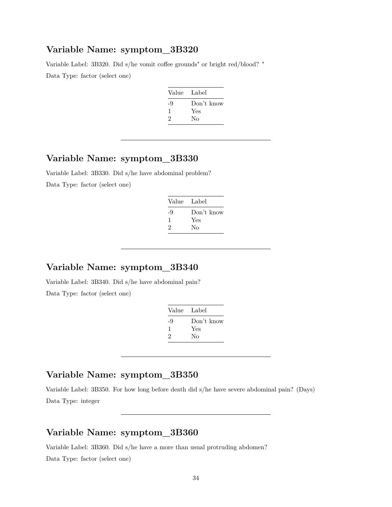Variable Label: 3B320. Did s/he vomit coffee grounds" or bright red/blood? " Data Type: factor (select one)

| Value Label |            |
|-------------|------------|
| -9          | Don't know |
|             | Yes        |
| 2           | No         |

### **Variable Name: symptom\_3B330**

Variable Label: 3B330. Did s/he have abdominal problem? Data Type: factor (select one)

| Value Label |
|-------------|
| Don't know  |
| Yes         |
| Nο          |
|             |

#### **Variable Name: symptom\_3B340**

Variable Label: 3B340. Did s/he have abdominal pain? Data Type: factor (select one)

| Value | Label      |
|-------|------------|
| -9    | Don't know |
| ı     | Yes        |
| 2     | Nο         |
|       |            |

## **Variable Name: symptom\_3B350**

Variable Label: 3B350. For how long before death did s/he have severe abdominal pain? (Days) Data Type: integer

#### **Variable Name: symptom\_3B360**

Variable Label: 3B360. Did s/he have a more than usual protruding abdomen? Data Type: factor (select one)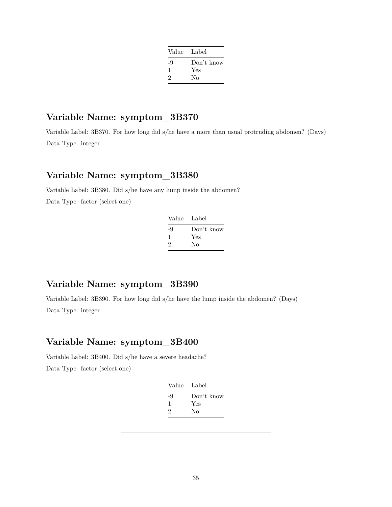| Value | - Label    |
|-------|------------|
| -9    | Don't know |
| 1     | Yes        |
| 2     | Nο         |
|       |            |

Variable Label: 3B370. For how long did s/he have a more than usual protruding abdomen? (Days) Data Type: integer

## **Variable Name: symptom\_3B380**

Variable Label: 3B380. Did s/he have any lump inside the abdomen? Data Type: factor (select one)

| Value | Label      |
|-------|------------|
| -9    | Don't know |
| 1     | Yes        |
| 2     | No         |

#### **Variable Name: symptom\_3B390**

Variable Label: 3B390. For how long did s/he have the lump inside the abdomen? (Days) Data Type: integer

### **Variable Name: symptom\_3B400**

Variable Label: 3B400. Did s/he have a severe headache?

Data Type: factor (select one)

| Value Label |            |
|-------------|------------|
| -9          | Don't know |
| 1           | Yes        |
| 2           | Nο         |
|             |            |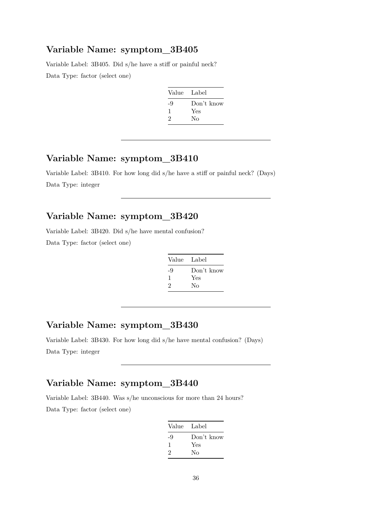Variable Label: 3B405. Did s/he have a stiff or painful neck? Data Type: factor (select one)

| Value | Label      |
|-------|------------|
| -9    | Don't know |
|       | Yes        |
| 2     | Nο         |

### **Variable Name: symptom\_3B410**

Variable Label: 3B410. For how long did s/he have a stiff or painful neck? (Days) Data Type: integer

#### **Variable Name: symptom\_3B420**

Variable Label: 3B420. Did s/he have mental confusion? Data Type: factor (select one)

| Label      |
|------------|
| Don't know |
| Yes        |
| No         |
|            |

### **Variable Name: symptom\_3B430**

Variable Label: 3B430. For how long did s/he have mental confusion? (Days) Data Type: integer

### **Variable Name: symptom\_3B440**

Variable Label: 3B440. Was s/he unconscious for more than 24 hours? Data Type: factor (select one)

| Value Label |            |
|-------------|------------|
| -9          | Don't know |
| 1           | Yes        |
| 2           | No         |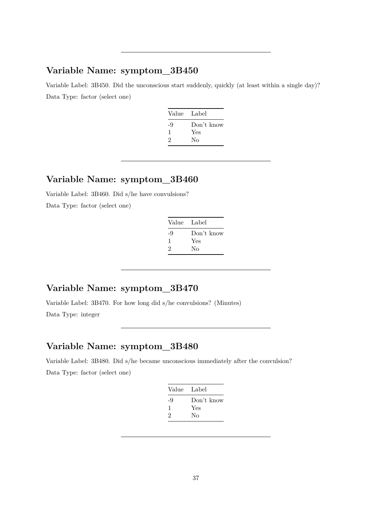Variable Label: 3B450. Did the unconscious start suddenly, quickly (at least within a single day)? Data Type: factor (select one)

| Don't know |
|------------|
| Yes        |
|            |
|            |

#### **Variable Name: symptom\_3B460**

Variable Label: 3B460. Did s/he have convulsions? Data Type: factor (select one)

| Value | Label      |
|-------|------------|
| -9    | Don't know |
| 1     | Yes        |
| 2     | Nο         |

## **Variable Name: symptom\_3B470**

Variable Label: 3B470. For how long did s/he convulsions? (Minutes) Data Type: integer

## **Variable Name: symptom\_3B480**

Variable Label: 3B480. Did s/he became unconscious immediately after the convulsion? Data Type: factor (select one)

| Value | Label      |
|-------|------------|
| -9    | Don't know |
|       | Yes        |
| 2     | Nο         |
|       |            |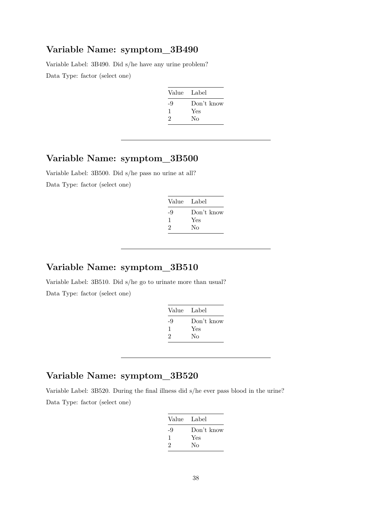Variable Label: 3B490. Did s/he have any urine problem? Data Type: factor (select one)

| Value | Label      |
|-------|------------|
| -9    | Don't know |
| ı     | Yes        |
| 2     | Nο         |

### **Variable Name: symptom\_3B500**

Variable Label: 3B500. Did s/he pass no urine at all? Data Type: factor (select one)

| Value Label |            |
|-------------|------------|
| -9          | Don't know |
| ı.          | Yes        |
| 2           | Nο         |

### **Variable Name: symptom\_3B510**

Variable Label: 3B510. Did s/he go to urinate more than usual? Data Type: factor (select one)

| Value | Label      |
|-------|------------|
| -9    | Don't know |
| ı     | Yes        |
| 2     | Nο         |
|       |            |

### **Variable Name: symptom\_3B520**

Variable Label: 3B520. During the final illness did s/he ever pass blood in the urine? Data Type: factor (select one)

| Value Label |            |
|-------------|------------|
| -9          | Don't know |
| 1           | Yes        |
| 2           | Nο         |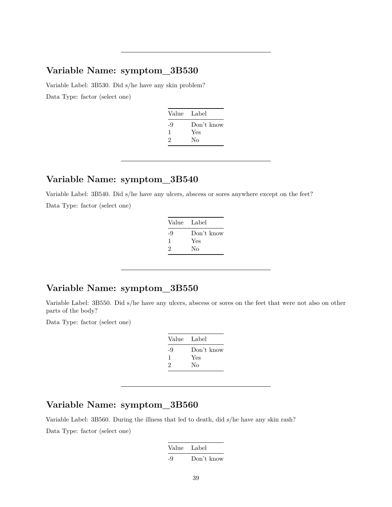Variable Label: 3B530. Did s/he have any skin problem? Data Type: factor (select one)

| Value Label |
|-------------|
| Don't know  |
| Yes         |
| No          |
|             |

#### **Variable Name: symptom\_3B540**

Variable Label: 3B540. Did s/he have any ulcers, abscess or sores anywhere except on the feet? Data Type: factor (select one)

| Value | - Label    |
|-------|------------|
| -9    | Don't know |
| -1    | Yes        |
| 2     | Nο         |
|       |            |

## **Variable Name: symptom\_3B550**

Variable Label: 3B550. Did s/he have any ulcers, abscess or sores on the feet that were not also on other parts of the body?

Data Type: factor (select one)

| Value | Label      |
|-------|------------|
| -9    | Don't know |
| 1     | Yes        |
| 2     | Nο         |
|       |            |

#### **Variable Name: symptom\_3B560**

Variable Label: 3B560. During the illness that led to death, did s/he have any skin rash?

Data Type: factor (select one)

Value Label -9 Don't know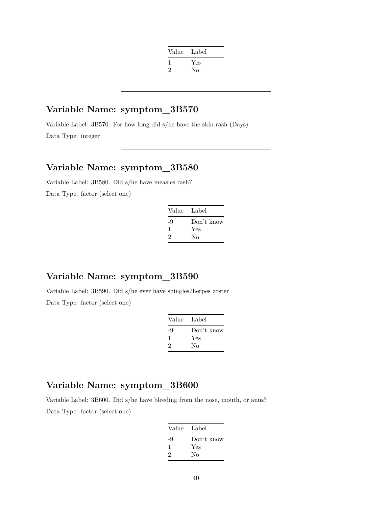| Value | Label |
|-------|-------|
|       | Yes   |
| 2     | No    |
|       |       |

Variable Label: 3B570. For how long did s/he have the skin rash (Days) Data Type: integer

### **Variable Name: symptom\_3B580**

Variable Label: 3B580. Did s/he have measles rash? Data Type: factor (select one)

| Value Label |            |
|-------------|------------|
| -9          | Don't know |
| 1           | Yes        |
| 2           | Nο         |
|             |            |

## **Variable Name: symptom\_3B590**

Variable Label: 3B590. Did s/he ever have shingles/herpes zoster Data Type: factor (select one)

| Value | Label      |
|-------|------------|
| -9    | Don't know |
| 1     | Yes        |
| 2     | Nο         |
|       |            |

## **Variable Name: symptom\_3B600**

Variable Label: 3B600. Did s/he have bleeding from the nose, mouth, or anus? Data Type: factor (select one)

| Value Label |            |
|-------------|------------|
| -9          | Don't know |
| 1           | Yes        |
| 2           | Nο         |
|             |            |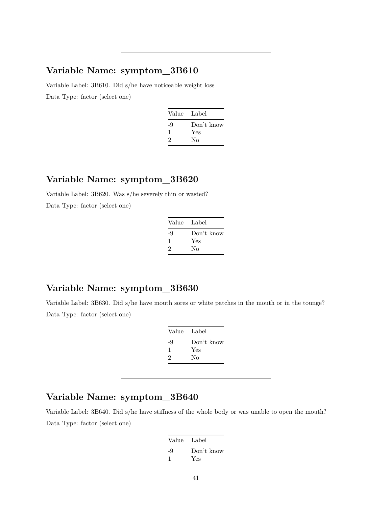Variable Label: 3B610. Did s/he have noticeable weight loss Data Type: factor (select one)

| Value Label |            |
|-------------|------------|
| -9          | Don't know |
| ı           | Yes        |
| 2           | Nο         |
|             |            |

#### **Variable Name: symptom\_3B620**

Variable Label: 3B620. Was s/he severely thin or wasted? Data Type: factor (select one)

| Value Label |
|-------------|
| Don't know  |
| Yes         |
| No          |
|             |

### **Variable Name: symptom\_3B630**

Variable Label: 3B630. Did s/he have mouth sores or white patches in the mouth or in the tounge? Data Type: factor (select one)

| Value    | Label             |
|----------|-------------------|
| -9<br>-1 | Don't know<br>Yes |
| 2        | No                |

## **Variable Name: symptom\_3B640**

Variable Label: 3B640. Did s/he have stiffness of the whole body or was unable to open the mouth? Data Type: factor (select one)

| Value Label |            |
|-------------|------------|
| -9          | Don't know |
|             | Yes        |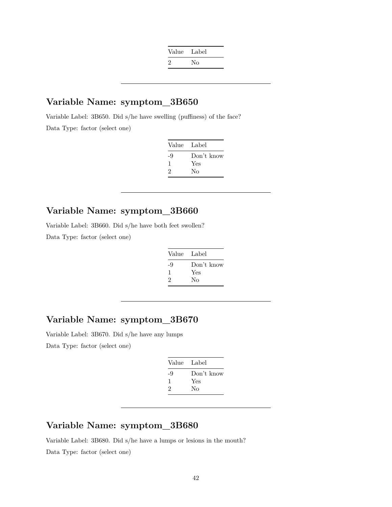| Value Label |    |
|-------------|----|
| $\cdot$     | No |

Variable Label: 3B650. Did s/he have swelling (puffiness) of the face? Data Type: factor (select one)

| Label      |
|------------|
| Don't know |
| Yes        |
| No         |
|            |

### **Variable Name: symptom\_3B660**

Variable Label: 3B660. Did s/he have both feet swollen? Data Type: factor (select one)

| Value Label |            |
|-------------|------------|
| -9          | Don't know |
| ı           | Yes        |
| 2           | Nο         |

### **Variable Name: symptom\_3B670**

Variable Label: 3B670. Did s/he have any lumps Data Type: factor (select one)

| Value Label |            |
|-------------|------------|
| -9          | Don't know |
| L           | Yes        |
| 2           | No         |

### **Variable Name: symptom\_3B680**

Variable Label: 3B680. Did s/he have a lumps or lesions in the mouth? Data Type: factor (select one)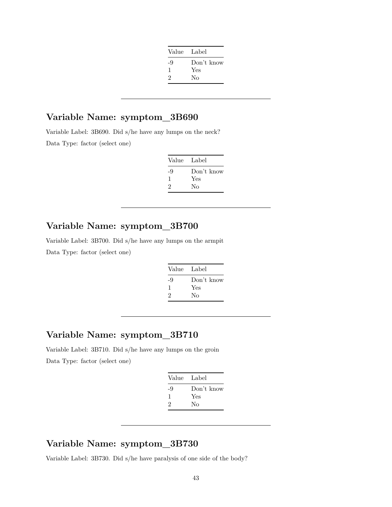| Value Label |            |
|-------------|------------|
| -9          | Don't know |
| 1           | Yes        |
| 2           | No         |
|             |            |

Variable Label: 3B690. Did s/he have any lumps on the neck? Data Type: factor (select one)

| Value Label |            |
|-------------|------------|
| -9          | Don't know |
| ı           | Yes        |
| 2           | No         |
|             |            |

## **Variable Name: symptom\_3B700**

Variable Label: 3B700. Did s/he have any lumps on the armpit Data Type: factor (select one)

| Value | Label      |
|-------|------------|
| -9    | Don't know |
| 1     | Yes        |
| 2     | Nο         |

### **Variable Name: symptom\_3B710**

Variable Label: 3B710. Did s/he have any lumps on the groin Data Type: factor (select one)

| Value Label |            |
|-------------|------------|
| -9          | Don't know |
| ı           | Yes        |
| 2           | Nο         |
|             |            |

### **Variable Name: symptom\_3B730**

Variable Label: 3B730. Did s/he have paralysis of one side of the body?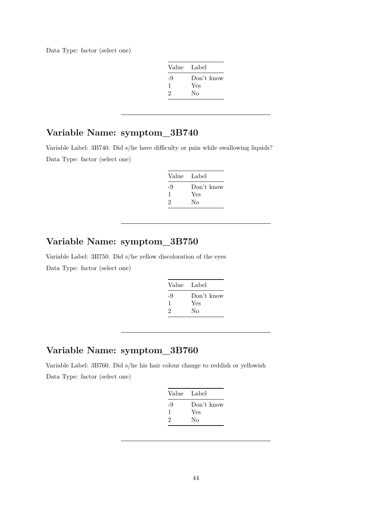Data Type: factor (select one)

| Value Label |            |
|-------------|------------|
| -9          | Don't know |
| -1          | Yes        |
| 2           | Nο         |

## **Variable Name: symptom\_3B740**

Variable Label: 3B740. Did s/he have difficulty or pain while swallowing liquids? Data Type: factor (select one)

| Value | Label      |
|-------|------------|
| -9    | Don't know |
| ı.    | Yes        |
| 2     | Nο         |

### **Variable Name: symptom\_3B750**

Variable Label: 3B750. Did s/he yellow discoloration of the eyes Data Type: factor (select one)

| Value | Label      |
|-------|------------|
| -9    | Don't know |
| ı     | Yes        |
| 2     | Nο         |
|       |            |

### **Variable Name: symptom\_3B760**

Variable Label: 3B760. Did s/he his hair colour change to reddish or yellowish Data Type: factor (select one)

| Value Label |            |
|-------------|------------|
| -9          | Don't know |
| 1           | Yes        |
| 2           | Nο         |
|             |            |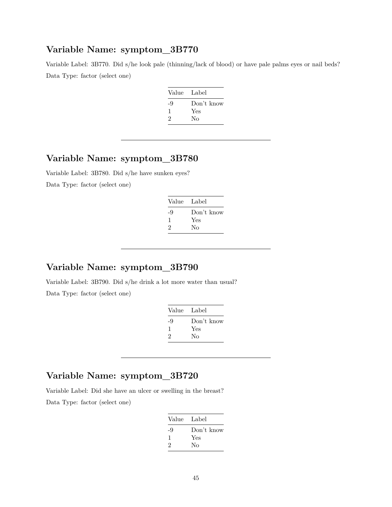Variable Label: 3B770. Did s/he look pale (thinning/lack of blood) or have pale palms eyes or nail beds? Data Type: factor (select one)

| Label      |
|------------|
| Don't know |
| Yes        |
| No         |
|            |

## **Variable Name: symptom\_3B780**

Variable Label: 3B780. Did s/he have sunken eyes? Data Type: factor (select one)

| Value Label |            |
|-------------|------------|
| -9          | Don't know |
| ı.          | Yes        |
| 2           | Nο         |

### **Variable Name: symptom\_3B790**

Variable Label: 3B790. Did s/he drink a lot more water than usual? Data Type: factor (select one)

| Value Label |            |
|-------------|------------|
| -9          | Don't know |
| ı           | Yes        |
| 2           | No         |

### **Variable Name: symptom\_3B720**

Variable Label: Did she have an ulcer or swelling in the breast? Data Type: factor (select one)

| Value Label |            |
|-------------|------------|
| -9          | Don't know |
|             | Yes        |
| 2           | Nο         |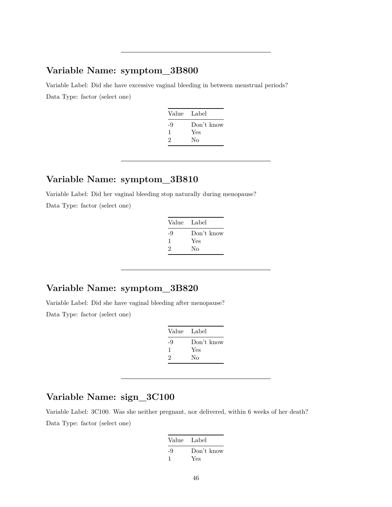Variable Label: Did she have excessive vaginal bleeding in between menstrual periods? Data Type: factor (select one)

| Value Label |            |
|-------------|------------|
| -9          | Don't know |
| ı           | Yes        |
| 2           | Nο         |
|             |            |

#### **Variable Name: symptom\_3B810**

Variable Label: Did her vaginal bleeding stop naturally during menopause? Data Type: factor (select one)

| Value | Label      |
|-------|------------|
| -9    | Don't know |
| ı     | Yes        |
| 2     | Nο         |

## **Variable Name: symptom\_3B820**

Variable Label: Did she have vaginal bleeding after menopause? Data Type: factor (select one)

| Value | Label      |
|-------|------------|
| -9    | Don't know |
| 1     | Yes        |
| 2     | Nο         |

### **Variable Name: sign\_3C100**

Variable Label: 3C100. Was she neither pregnant, nor delivered, within 6 weeks of her death? Data Type: factor (select one)

| Value Label |            |
|-------------|------------|
| -9          | Don't know |
|             | Yes        |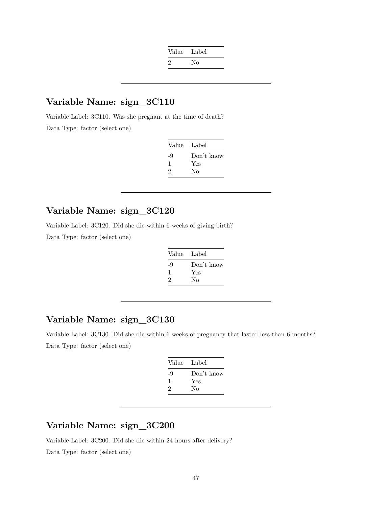| Value Label |    |
|-------------|----|
|             | Nο |
|             |    |

Variable Label: 3C110. Was she pregnant at the time of death? Data Type: factor (select one)

| Value | Label      |
|-------|------------|
| -9    | Don't know |
| ı     | Yes        |
| 2     | No         |

## **Variable Name: sign\_3C120**

Variable Label: 3C120. Did she die within 6 weeks of giving birth?

Data Type: factor (select one)

| Value Label |            |
|-------------|------------|
| -9          | Don't know |
| 1           | Yes        |
| 2           | No         |
|             |            |

### **Variable Name: sign\_3C130**

Variable Label: 3C130. Did she die within 6 weeks of pregnancy that lasted less than 6 months? Data Type: factor (select one)

| Value Label |            |
|-------------|------------|
| -9          | Don't know |
| 1           | Yes        |
| 2           | No         |
|             |            |

## **Variable Name: sign\_3C200**

Variable Label: 3C200. Did she die within 24 hours after delivery?

Data Type: factor (select one)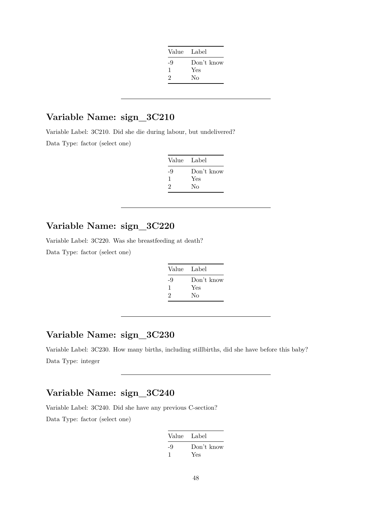| Value Label |            |
|-------------|------------|
| -9          | Don't know |
| 1           | Yes        |
| 2           | Nο         |
|             |            |

Variable Label: 3C210. Did she die during labour, but undelivered?

Data Type: factor (select one)

| Value Label |            |
|-------------|------------|
| -9          | Don't know |
| ı           | Yes        |
| 2           | Nο         |

### **Variable Name: sign\_3C220**

Variable Label: 3C220. Was she breastfeeding at death?

Data Type: factor (select one)

| Don't know |
|------------|
|            |
|            |
|            |

## **Variable Name: sign\_3C230**

Variable Label: 3C230. How many births, including stillbirths, did she have before this baby? Data Type: integer

### **Variable Name: sign\_3C240**

Variable Label: 3C240. Did she have any previous C-section? Data Type: factor (select one)

| Value Label |            |
|-------------|------------|
| -9          | Don't know |
|             | Yes        |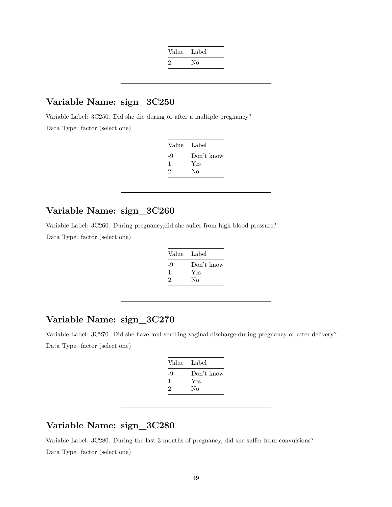| Value Label |    |
|-------------|----|
| $\cdot$     | No |

Variable Label: 3C250. Did she die during or after a multiple pregnancy? Data Type: factor (select one)

| Label      |
|------------|
| Don't know |
| Yes        |
| No         |
|            |

### **Variable Name: sign\_3C260**

Variable Label: 3C260. During pregnancy,did she suffer from high blood pressure?

Data Type: factor (select one)

| Value | - Label    |
|-------|------------|
| -9    | Don't know |
| 1     | Yes        |
| 2     | Nο         |

### **Variable Name: sign\_3C270**

Variable Label: 3C270. Did she have foul smelling vaginal discharge during pregnancy or after delivery? Data Type: factor (select one)

| Value Label |            |
|-------------|------------|
| -9          | Don't know |
| 1           | Yes        |
| 2           | Nο         |
|             |            |

#### **Variable Name: sign\_3C280**

Variable Label: 3C280. During the last 3 months of pregnancy, did she suffer from convulsions? Data Type: factor (select one)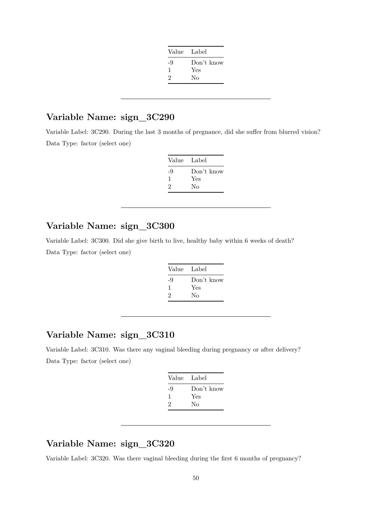| Value Label |            |
|-------------|------------|
| -9          | Don't know |
| ı           | Yes        |
| $\cdot$     | Nο         |
|             |            |

Variable Label: 3C290. During the last 3 months of pregnance, did she suffer from blurred vision? Data Type: factor (select one)

| Value Label |            |
|-------------|------------|
| -9          | Don't know |
|             | Yes        |
| 2           | No         |
|             |            |

### **Variable Name: sign\_3C300**

Variable Label: 3C300. Did she give birth to live, healthy baby within 6 weeks of death? Data Type: factor (select one)

| Value | Label      |
|-------|------------|
| -9    | Don't know |
| ı     | Yes        |
| 2     | Nο         |
|       |            |

## **Variable Name: sign\_3C310**

Variable Label: 3C310. Was there any vaginal bleeding during pregnancy or after delivery? Data Type: factor (select one)

| Value Label |            |
|-------------|------------|
| -9          | Don't know |
| 1           | Yes        |
| 2           | Nο         |
|             |            |

### **Variable Name: sign\_3C320**

Variable Label: 3C320. Was there vaginal bleeding during the first 6 months of pregnancy?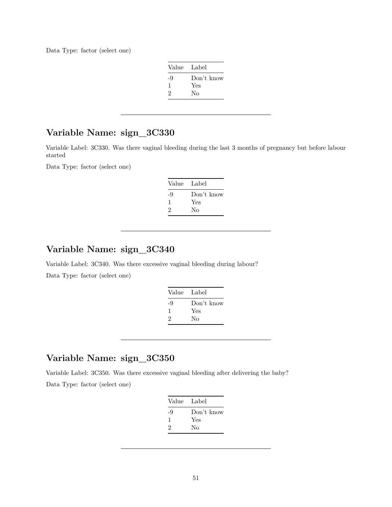Data Type: factor (select one)

|    | Value Label |
|----|-------------|
| -9 | Don't know  |
| ı  | Yes         |
| 2  | Nο          |

### **Variable Name: sign\_3C330**

Variable Label: 3C330. Was there vaginal bleeding during the last 3 months of pregnancy but before labour started

Data Type: factor (select one)

| Value | Label      |
|-------|------------|
| -9    | Don't know |
| ı     | Yes        |
| 2     | Nο         |

### **Variable Name: sign\_3C340**

Variable Label: 3C340. Was there excessive vaginal bleeding during labour? Data Type: factor (select one)

| Value Label |            |
|-------------|------------|
| -9          | Don't know |
| л.          | Yes        |
| 2           | Nο         |
|             |            |

### **Variable Name: sign\_3C350**

Variable Label: 3C350. Was there excessive vaginal bleeding after delivering the baby? Data Type: factor (select one)

| Value Label |            |
|-------------|------------|
| -9          | Don't know |
| 1           | Yes        |
| 2           | Nο         |
|             |            |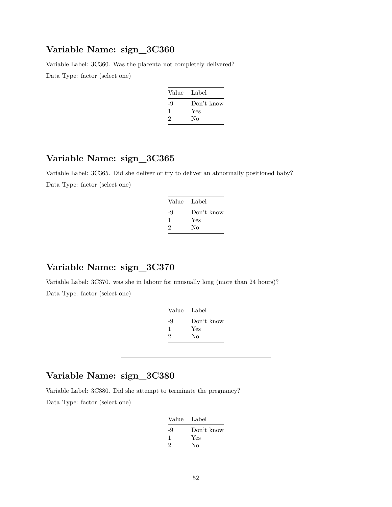Variable Label: 3C360. Was the placenta not completely delivered?

Data Type: factor (select one)

| - Label    |
|------------|
| Don't know |
| Yes        |
| No         |
|            |

### **Variable Name: sign\_3C365**

Variable Label: 3C365. Did she deliver or try to deliver an abnormally positioned baby? Data Type: factor (select one)

| Value Label |            |
|-------------|------------|
| -9          | Don't know |
| 1           | Yes        |
| 2           | Nο         |
|             |            |

#### **Variable Name: sign\_3C370**

Variable Label: 3C370. was she in labour for unusually long (more than 24 hours)? Data Type: factor (select one)

| Value Label |
|-------------|
| Don't know  |
| Yes         |
| Nο          |
|             |

### **Variable Name: sign\_3C380**

Variable Label: 3C380. Did she attempt to terminate the pregnancy?

Data Type: factor (select one)

| Value Label |            |
|-------------|------------|
| -9          | Don't know |
| ı           | Yes        |
| 2           | Nο         |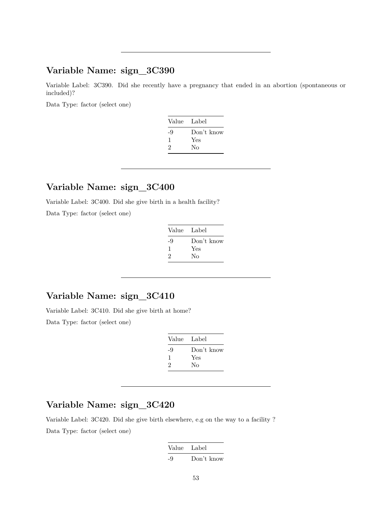Variable Label: 3C390. Did she recently have a pregnancy that ended in an abortion (spontaneous or included)?

Data Type: factor (select one)

| Value Label |            |
|-------------|------------|
| -9          | Don't know |
| 1           | Yes        |
| 2           | Nο         |
|             |            |

### **Variable Name: sign\_3C400**

Variable Label: 3C400. Did she give birth in a health facility?

Data Type: factor (select one)

| Value Label |            |
|-------------|------------|
| -9          | Don't know |
| ı           | Yes        |
| 2           | No         |

### **Variable Name: sign\_3C410**

Variable Label: 3C410. Did she give birth at home? Data Type: factor (select one)

| Value | Label      |
|-------|------------|
| -9    | Don't know |
| 1     | Yes        |
| 2     | Nο         |

#### **Variable Name: sign\_3C420**

Variable Label: 3C420. Did she give birth elsewhere, e.g on the way to a facility ? Data Type: factor (select one)

> Value Label -9 Don't know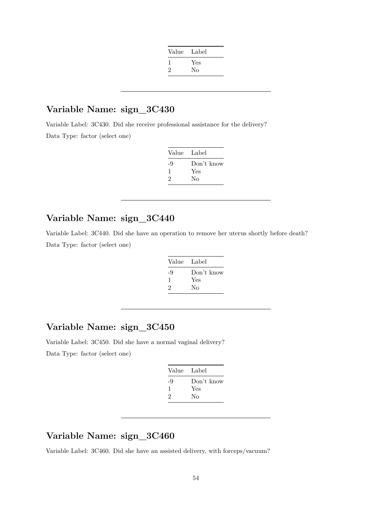| Value | Label |
|-------|-------|
|       | Yes   |
| 2     | No    |
|       |       |

Variable Label: 3C430. Did she receive professional assistance for the delivery? Data Type: factor (select one)

| Value Label |            |
|-------------|------------|
| -9          | Don't know |
| л.          | Yes        |
| 2           | Nο         |

#### **Variable Name: sign\_3C440**

Variable Label: 3C440. Did she have an operation to remove her uterus shortly before death? Data Type: factor (select one)

| Value | Label      |
|-------|------------|
| -9    | Don't know |
| 1     | Yes        |
| 2     | No         |

### **Variable Name: sign\_3C450**

Variable Label: 3C450. Did she have a normal vaginal delivery? Data Type: factor (select one)

| Value Label |            |
|-------------|------------|
| -9          | Don't know |
| ı           | Yes        |
| 2           | No         |
|             |            |

## **Variable Name: sign\_3C460**

Variable Label: 3C460. Did she have an assisted delivery, with forceps/vacuum?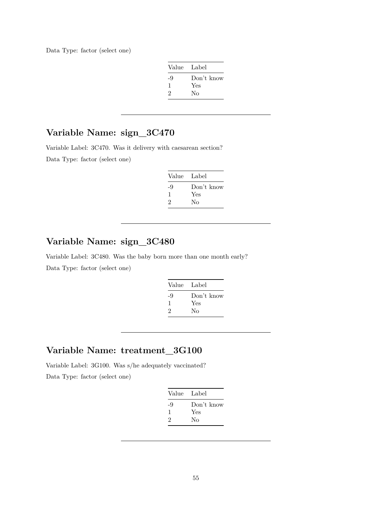Data Type: factor (select one)

| Value Label |            |
|-------------|------------|
| -9          | Don't know |
| -1          | Yes        |
| 2           | Nο         |

## **Variable Name: sign\_3C470**

Variable Label: 3C470. Was it delivery with caesarean section? Data Type: factor (select one)

| Value | Label      |
|-------|------------|
| -9    | Don't know |
| -1    | Yes        |
| 2     | Nο         |

## **Variable Name: sign\_3C480**

Variable Label: 3C480. Was the baby born more than one month early? Data Type: factor (select one)

| Value Label |            |
|-------------|------------|
| -9          | Don't know |
| ı           | Yes        |
| 2           | No         |
|             |            |

### **Variable Name: treatment\_3G100**

Variable Label: 3G100. Was s/he adequately vaccinated? Data Type: factor (select one)

|    | Value Label |
|----|-------------|
| -9 | Don't know  |
| ı  | Yes         |
| 2  | Nο          |
|    |             |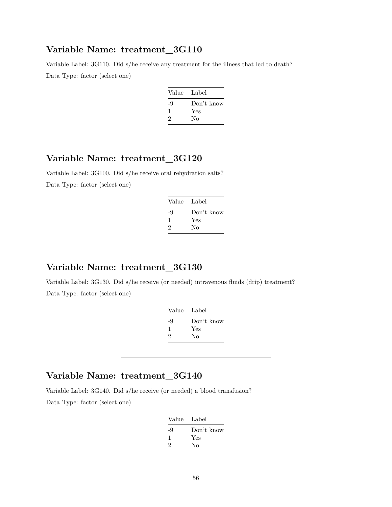#### **Variable Name: treatment\_3G110**

Variable Label: 3G110. Did s/he receive any treatment for the illness that led to death? Data Type: factor (select one)

| Value Label |            |
|-------------|------------|
| -9          | Don't know |
| ı           | Yes        |
| 2           | No         |
|             |            |

### **Variable Name: treatment\_3G120**

Variable Label: 3G100. Did s/he receive oral rehydration salts? Data Type: factor (select one)

| Value Label |
|-------------|
| Don't know  |
| Yes         |
| Nο          |
|             |

#### **Variable Name: treatment\_3G130**

Variable Label: 3G130. Did s/he receive (or needed) intravenous fluids (drip) treatment? Data Type: factor (select one)

| Label      |
|------------|
| Don't know |
| Yes        |
| Nο         |
|            |

### **Variable Name: treatment\_3G140**

Variable Label: 3G140. Did s/he receive (or needed) a blood transfusion?

Data Type: factor (select one)

| Value Label |            |
|-------------|------------|
| -9          | Don't know |
| ı           | Yes        |
| 2           | Nο         |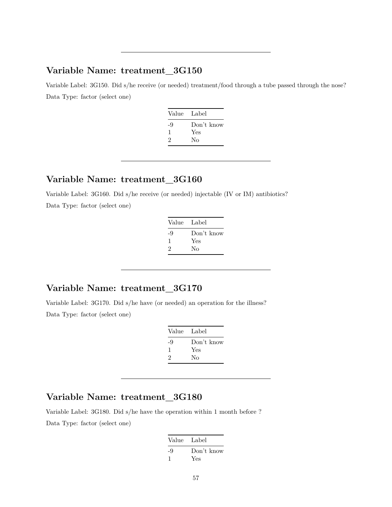### **Variable Name: treatment\_3G150**

Variable Label: 3G150. Did s/he receive (or needed) treatment/food through a tube passed through the nose? Data Type: factor (select one)

| Value Label |
|-------------|
| Don't know  |
| Yes         |
| Nο          |
|             |

#### **Variable Name: treatment\_3G160**

Variable Label: 3G160. Did s/he receive (or needed) injectable (IV or IM) antibiotics? Data Type: factor (select one)

| Value Label |            |
|-------------|------------|
| -9          | Don't know |
| 1           | Yes        |
| 2           | No         |
|             |            |

### **Variable Name: treatment\_3G170**

Variable Label: 3G170. Did s/he have (or needed) an operation for the illness? Data Type: factor (select one)

| Value Label |                   |
|-------------|-------------------|
| -9<br>ı     | Don't know<br>Yes |
| 2           | Nο                |

### **Variable Name: treatment\_3G180**

Variable Label: 3G180. Did s/he have the operation within 1 month before ? Data Type: factor (select one)

| Value Label |            |
|-------------|------------|
| -9          | Don't know |
|             | Yes        |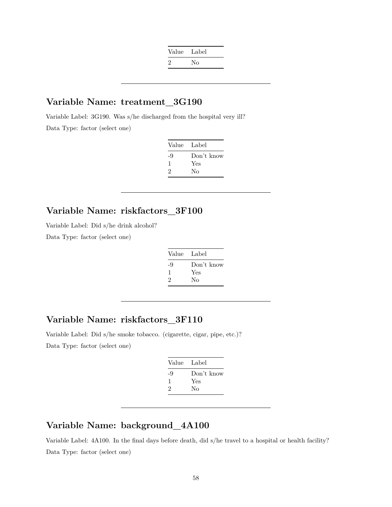| Value Label |    |
|-------------|----|
| $\cdot$     | No |

#### **Variable Name: treatment\_3G190**

Variable Label: 3G190. Was s/he discharged from the hospital very ill? Data Type: factor (select one)

| Label      | Value |
|------------|-------|
| Don't know | -9    |
| Yes        |       |
| Nο         | 2     |
|            |       |

### **Variable Name: riskfactors\_3F100**

Variable Label: Did s/he drink alcohol?

Data Type: factor (select one)

| Value Label |            |
|-------------|------------|
| -9          | Don't know |
| 1           | Yes        |
| 2           | No         |

### **Variable Name: riskfactors\_3F110**

Variable Label: Did s/he smoke tobacco. (cigarette, cigar, pipe, etc.)? Data Type: factor (select one)

| Value Label |            |
|-------------|------------|
| -9          | Don't know |
| ı           | Yes        |
| 2           | Nο         |

### **Variable Name: background\_4A100**

Variable Label: 4A100. In the final days before death, did s/he travel to a hospital or health facility? Data Type: factor (select one)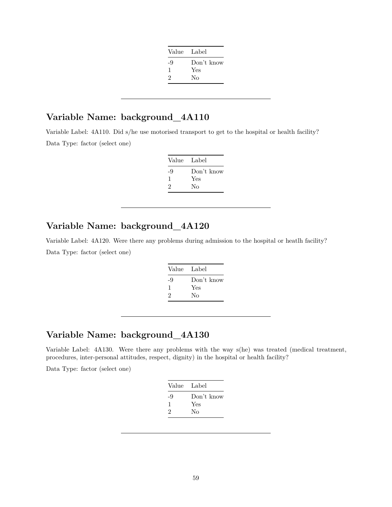| Value Label |            |
|-------------|------------|
| -9          | Don't know |
| ı           | Yes        |
| 2           | Nο         |
|             |            |

## **Variable Name: background\_4A110**

Variable Label: 4A110. Did s/he use motorised transport to get to the hospital or health facility? Data Type: factor (select one)

| Value Label |            |
|-------------|------------|
| -9          | Don't know |
|             | Yes        |
| 2           | Nο         |

## **Variable Name: background\_4A120**

Variable Label: 4A120. Were there any problems during admission to the hospital or heatlh facility? Data Type: factor (select one)

| Value Label |            |
|-------------|------------|
| -9          | Don't know |
| 1           | Yes        |
| 2           | Nο         |
|             |            |

### **Variable Name: background\_4A130**

Variable Label: 4A130. Were there any problems with the way s(he) was treated (medical treatment, procedures, inter-personal attitudes, respect, dignity) in the hospital or health facility?

Data Type: factor (select one)

| Value Label |            |
|-------------|------------|
| -9          | Don't know |
| ı.          | Yes        |
| 2           | No         |
|             |            |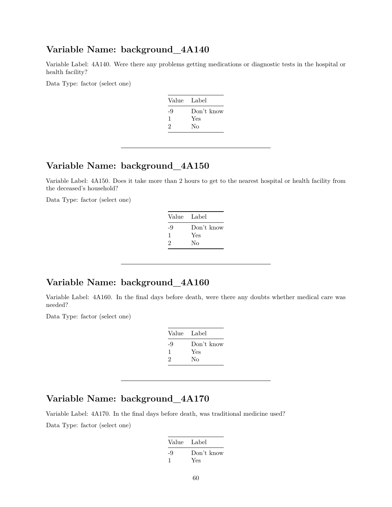#### **Variable Name: background\_4A140**

Variable Label: 4A140. Were there any problems getting medications or diagnostic tests in the hospital or health facility?

Data Type: factor (select one)

| Value Label |            |
|-------------|------------|
| -9          | Don't know |
| ı           | Yes        |
| 2           | Nο         |
|             |            |

### **Variable Name: background\_4A150**

Variable Label: 4A150. Does it take more than 2 hours to get to the nearest hospital or health facility from the deceased's household?

Data Type: factor (select one)

| Value Label |            |
|-------------|------------|
| -9          | Don't know |
| 1           | Yes        |
| 2           | No         |
|             |            |

### **Variable Name: background\_4A160**

Variable Label: 4A160. In the final days before death, were there any doubts whether medical care was needed?

Data Type: factor (select one)

| Value Label |            |
|-------------|------------|
| -9          | Don't know |
| ı           | Yes        |
| 2           | Nο         |
|             |            |

### **Variable Name: background\_4A170**

Variable Label: 4A170. In the final days before death, was traditional medicine used?

Data Type: factor (select one)

| Value Label |                   |
|-------------|-------------------|
| -9          | Don't know<br>Yes |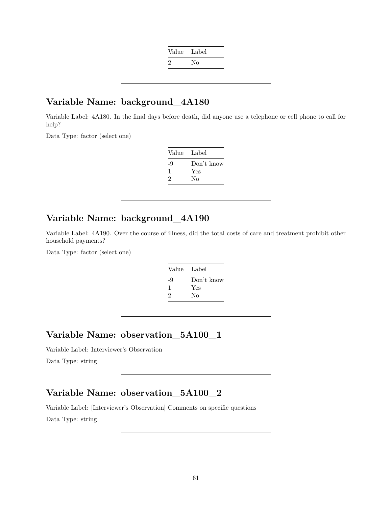| Value Label  |    |
|--------------|----|
| $\mathbf{z}$ | No |

### **Variable Name: background\_4A180**

Variable Label: 4A180. In the final days before death, did anyone use a telephone or cell phone to call for help?

Data Type: factor (select one)

| Value | Label      |
|-------|------------|
| -9    | Don't know |
| ı     | Yes        |
| 2     | Nο         |

#### **Variable Name: background\_4A190**

Variable Label: 4A190. Over the course of illness, did the total costs of care and treatment prohibit other household payments?

Data Type: factor (select one)

| Value | Label      |
|-------|------------|
| -9    | Don't know |
| ı     | Yes        |
| 2     | No         |

### **Variable Name: observation\_5A100\_1**

Variable Label: Interviewer's Observation

Data Type: string

### **Variable Name: observation\_5A100\_2**

Variable Label: [Interviewer's Observation] Comments on specific questions Data Type: string